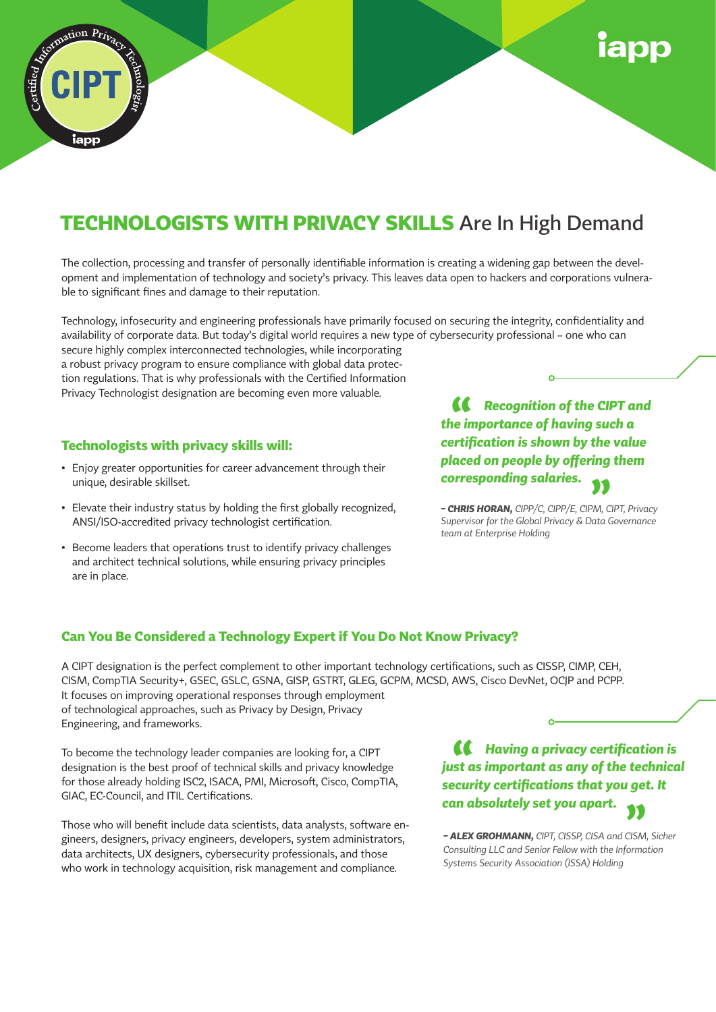

## **TECHNOLOGISTS WITH PRIVACY SKILLS** Are In High Demand

The collection, processing and transfer of personally identifiable information is creating a widening gap between the development and implementation of technology and society's privacy. This leaves data open to hackers and corporations vulnerable to significant fines and damage to their reputation.

Technology, infosecurity and engineering professionals have primarily focused on securing the integrity, confidentiality and availability of corporate data. But today's digital world requires a new type of cybersecurity professional – one who can

secure highly complex interconnected technologies, while incorporating a robust privacy program to ensure compliance with global data protection regulations. That is why professionals with the Certified Information Privacy Technologist designation are becoming even more valuable.

#### **Technologists with privacy skills will:**

- Enjoy greater opportunities for career advancement through their unique, desirable skillset.
- Elevate their industry status by holding the first globally recognized, ANSI/ISO-accredited privacy technologist certification.
- Become leaders that operations trust to identify privacy challenges and architect technical solutions, while ensuring privacy principles are in place.

*Recognition of the CIPT and the importance of having such a*  **"** *certification is shown by the value placed on people by offering them corresponding salaries.* **"**

*– CHRIS HORAN, CIPP/C, CIPP/E, CIPM, CIPT, Privacy Supervisor for the Global Privacy & Data Governance team at Enterprise Holding*

#### **Can You Be Considered a Technology Expert if You Do Not Know Privacy?**

A CIPT designation is the perfect complement to other important technology certifications, such as CISSP, CIMP, CEH, CISM, CompTIA Security+, GSEC, GSLC, GSNA, GISP, GSTRT, GLEG, GCPM, MCSD, AWS, Cisco DevNet, OCJP and PCPP. It focuses on improving operational responses through employment of technological approaches, such as Privacy by Design, Privacy Engineering, and frameworks.

To become the technology leader companies are looking for, a CIPT designation is the best proof of technical skills and privacy knowledge for those already holding ISC2, ISACA, PMI, Microsoft, Cisco, CompTIA, GIAC, EC-Council, and ITIL Certifications.

Those who will benefit include data scientists, data analysts, software engineers, designers, privacy engineers, developers, system administrators, data architects, UX designers, cybersecurity professionals, and those who work in technology acquisition, risk management and compliance.

*Having a privacy certification is*  **"** *just as important as any of the technical security certifications that you get. It can absolutely set you apart.* **"**

*– ALEX GROHMANN, CIPT, CISSP, CISA and CISM, Sicher Consulting LLC and Senior Fellow with the Information Systems Security Association (ISSA) Holding*